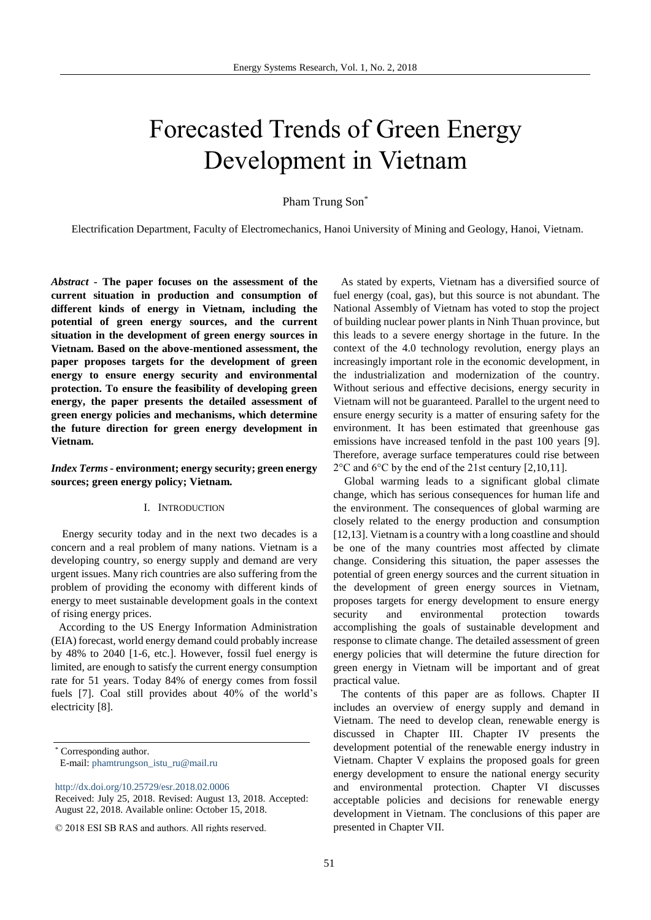# Forecasted Trends of Green Energy Development in Vietnam

#### Pham Trung Son\*

Electrification Department, Faculty of Electromechanics, Hanoi University of Mining and Geology, Hanoi, Vietnam.

*Abstract* **- The paper focuses on the assessment of the current situation in production and consumption of different kinds of energy in Vietnam, including the potential of green energy sources, and the current situation in the development of green energy sources in Vietnam. Based on the above-mentioned assessment, the paper proposes targets for the development of green energy to ensure energy security and environmental protection. To ensure the feasibility of developing green energy, the paper presents the detailed assessment of green energy policies and mechanisms, which determine the future direction for green energy development in Vietnam.**

#### *Index Terms* **- environment; energy security; green energy sources; green energy policy; Vietnam.**

### I. INTRODUCTION

Energy security today and in the next two decades is a concern and a real problem of many nations. Vietnam is a developing country, so energy supply and demand are very urgent issues. Many rich countries are also suffering from the problem of providing the economy with different kinds of energy to meet sustainable development goals in the context of rising energy prices.

According to the US Energy Information Administration (EIA) forecast, world energy demand could probably increase by 48% to 2040 [1-6, etc.]. However, fossil fuel energy is limited, are enough to satisfy the current energy consumption rate for 51 years. Today 84% of energy comes from fossil fuels [7]. Coal still provides about 40% of the world's electricity [8].

\* Corresponding author.

E-mail: [phamtrungson\\_istu\\_ru@mail.ru](mailto:phamtrungson_istu_ru@mail.ru)

As stated by experts, Vietnam has a diversified source of fuel energy (coal, gas), but this source is not abundant. The National Assembly of Vietnam has voted to stop the project of building nuclear power plants in Ninh Thuan province, but this leads to a severe energy shortage in the future. In the context of the 4.0 technology revolution, energy plays an increasingly important role in the economic development, in the industrialization and modernization of the country. Without serious and effective decisions, energy security in Vietnam will not be guaranteed. Parallel to the urgent need to ensure energy security is a matter of ensuring safety for the environment. It has been estimated that greenhouse gas emissions have increased tenfold in the past 100 years [9]. Therefore, average surface temperatures could rise between 2°C and 6°C by the end of the 21st century [2,10,11].

Global warming leads to a significant global climate change, which has serious consequences for human life and the environment. The consequences of global warming are closely related to the energy production and consumption [12,13]. Vietnam is a country with a long coastline and should be one of the many countries most affected by climate change. Considering this situation, the paper assesses the potential of green energy sources and the current situation in the development of green energy sources in Vietnam, proposes targets for energy development to ensure energy security and environmental protection towards accomplishing the goals of sustainable development and response to climate change. The detailed assessment of green energy policies that will determine the future direction for green energy in Vietnam will be important and of great practical value.

The contents of this paper are as follows. Chapter II includes an overview of energy supply and demand in Vietnam. The need to develop clean, renewable energy is discussed in Chapter III. Chapter IV presents the development potential of the renewable energy industry in Vietnam. Chapter V explains the proposed goals for green energy development to ensure the national energy security and environmental protection. Chapter VI discusses acceptable policies and decisions for renewable energy development in Vietnam. The conclusions of this paper are presented in Chapter VII.

<http://dx.doi.org/10.25729/esr.2018.02.0006>

Received: July 25, 2018. Revised: August 13, 2018. Accepted: August 22, 2018. Available online: October 15, 2018.

<sup>© 2018</sup> ESI SB RAS and authors. All rights reserved.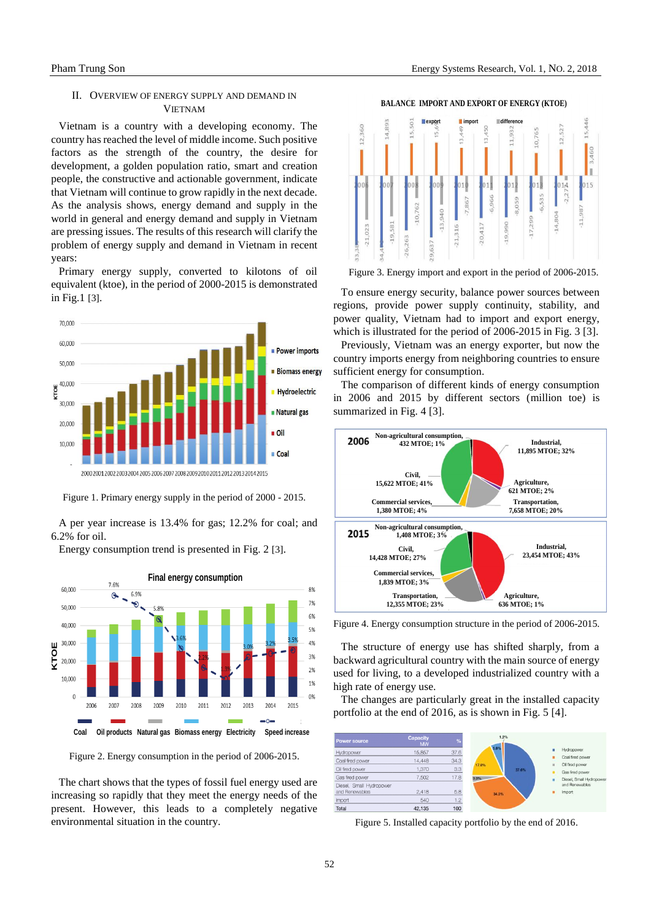### II. OVERVIEW OF ENERGY SUPPLY AND DEMAND IN **VIETNAM**

Vietnam is a country with a developing economy. The country has reached the level of middle income. Such positive factors as the strength of the country, the desire for development, a golden population ratio, smart and creation people, the constructive and actionable government, indicate that Vietnam will continue to grow rapidly in the next decade. As the analysis shows, energy demand and supply in the world in general and energy demand and supply in Vietnam are pressing issues. The results of this research will clarify the problem of energy supply and demand in Vietnam in recent years:

Primary energy supply, converted to kilotons of oil equivalent (ktoe), in the period of 2000-2015 is demonstrated in Fig.1 [3].



Figure 1. Primary energy supply in the period of 2000 - 2015.

A per year increase is 13.4% for gas; 12.2% for coal; and 6.2% for oil.

Energy consumption trend is presented in Fig. 2 [3].



Figure 2. Energy consumption in the period of 2006-2015.

The chart shows that the types of fossil fuel energy used are increasing so rapidly that they meet the energy needs of the present. However, this leads to a completely negative environmental situation in the country.

**BALANCE IMPORT AND EXPORT OF ENERGY (KTOE)**



Figure 3. Energy import and export in the period of 2006-2015.

To ensure energy security, balance power sources between regions, provide power supply continuity, stability, and power quality, Vietnam had to import and export energy, which is illustrated for the period of 2006-2015 in Fig. 3 [3].

Previously, Vietnam was an energy exporter, but now the country imports energy from neighboring countries to ensure sufficient energy for consumption.

The comparison of different kinds of energy consumption in 2006 and 2015 by different sectors (million toe) is summarized in Fig. 4 [3].



Figure 4. Energy consumption structure in the period of 2006-2015.

The structure of energy use has shifted sharply, from a backward agricultural country with the main source of energy used for living, to a developed industrialized country with a high rate of energy use.

The changes are particularly great in the installed capacity portfolio at the end of 2016, as is shown in Fig. 5 [4].



Figure 5. Installed capacity portfolio by the end of 2016.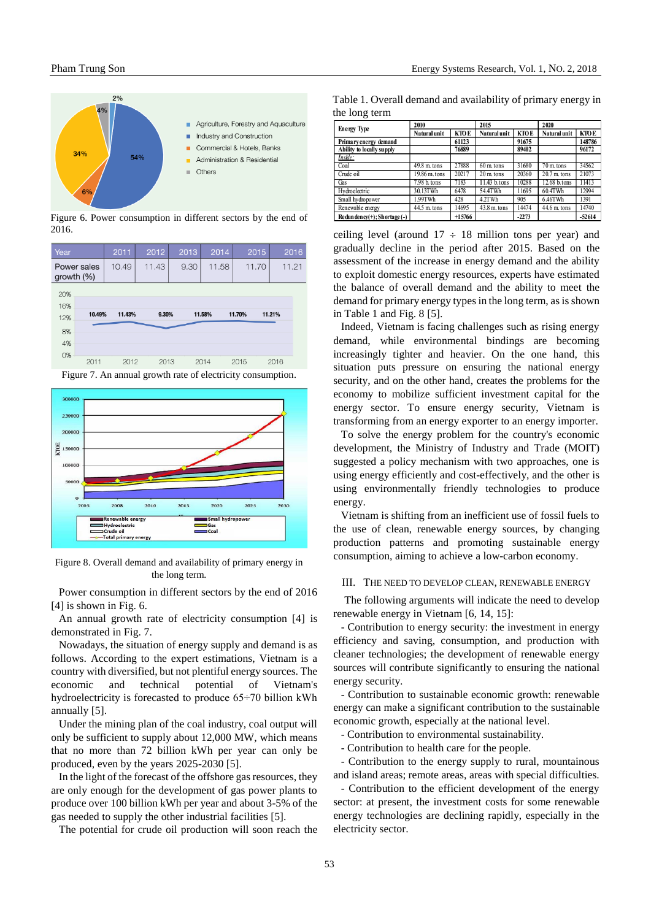

Figure 6. Power consumption in different sectors by the end of 2016.

| Year                         |      | 2011             | 2012  | 2013  | 2014   | 2015   | 2016   |
|------------------------------|------|------------------|-------|-------|--------|--------|--------|
| Power sales<br>growth $(\%)$ |      | 10.49            | 11.43 | 9.30  | 11.58  | 11.70  | 11.21  |
| 20%                          |      |                  |       |       |        |        |        |
| 16%<br>12%                   |      | 11.43%<br>10.49% |       | 9.30% | 11.58% | 11.70% | 11.21% |
| 8%                           |      |                  |       |       |        |        |        |
| 4%                           |      |                  |       |       |        |        |        |
| 0%                           | 2011 | 2012             | 2013  |       | 2014   | 2015   | 2016   |

Figure 7. An annual growth rate of electricity consumption.



Figure 8. Overall demand and availability of primary energy in the long term.

Power consumption in different sectors by the end of 2016 [4] is shown in Fig. 6.

An annual growth rate of electricity consumption [4] is demonstrated in Fig. 7.

Nowadays, the situation of energy supply and demand is as follows. According to the expert estimations, Vietnam is a country with diversified, but not plentiful energy sources. The economic and technical potential of Vietnam's hydroelectricity is forecasted to produce 65÷70 billion kWh annually [5].

Under the mining plan of the coal industry, coal output will only be sufficient to supply about 12,000 MW, which means that no more than 72 billion kWh per year can only be produced, even by the years 2025-2030 [5].

In the light of the forecast of the offshore gas resources, they are only enough for the development of gas power plants to produce over 100 billion kWh per year and about 3-5% of the gas needed to supply the other industrial facilities [5].

The potential for crude oil production will soon reach the

Table 1. Overall demand and availability of primary energy in the long term

| <b>Energy Type</b>          | 2010           |             | 2015                  |             | 2020                  |             |
|-----------------------------|----------------|-------------|-----------------------|-------------|-----------------------|-------------|
|                             | Natural unit   | <b>KTOE</b> | Natural unit          | <b>KTOE</b> | Natural unit          | <b>KTOE</b> |
| Primary energy demand       |                | 61123       |                       | 91675       |                       | 148786      |
| Ability to locally supply   |                | 76889       |                       | 89402       |                       | 96172       |
| Inside:                     |                |             |                       |             |                       |             |
| Coal                        | $49.8$ m. tons | 27888       | $60 \text{ m}$ , tons | 31680       | $70 \text{ m}$ , tons | 34562       |
| Crude oil                   | 19.86 m. tons  | 20217       | $20 \text{ m}$ tons   | 20360       | $20.7$ m. tons        | 21073       |
| Gas                         | 7.98 b. tons   | 7183        | 11.43 b.tons          | 10288       | 12.68 b.tons          | 11413       |
| Hydroelectric               | 30.13TWh       | 6478        | 54.4TWh               | 11695       | 60.4TWh               | 12994       |
| Small hydropower            | 1.99TWh        | 428         | 4.2TWh                | 905         | 6.46TWh               | 1391        |
| Renewable energy            | 44.5 m. tons   | 14695       | $43.8$ m. tons        | 14474       | $44.6$ m. tons        | 14740       |
| Redundency(+); Shortage (-) |                | $+15766$    |                       | $-2273$     |                       | $-52614$    |

ceiling level (around  $17 \div 18$  million tons per year) and gradually decline in the period after 2015. Based on the assessment of the increase in energy demand and the ability to exploit domestic energy resources, experts have estimated the balance of overall demand and the ability to meet the demand for primary energy types in the long term, as is shown in Table 1 and Fig. 8 [5].

Indeed, Vietnam is facing challenges such as rising energy demand, while environmental bindings are becoming increasingly tighter and heavier. On the one hand, this situation puts pressure on ensuring the national energy security, and on the other hand, creates the problems for the economy to mobilize sufficient investment capital for the energy sector. To ensure energy security, Vietnam is transforming from an energy exporter to an energy importer.

To solve the energy problem for the country's economic development, the Ministry of Industry and Trade (MOIT) suggested a policy mechanism with two approaches, one is using energy efficiently and cost-effectively, and the other is using environmentally friendly technologies to produce energy.

Vietnam is shifting from an inefficient use of fossil fuels to the use of clean, renewable energy sources, by changing production patterns and promoting sustainable energy consumption, aiming to achieve a low-carbon economy.

#### III. THE NEED TO DEVELOP CLEAN, RENEWABLE ENERGY

The following arguments will indicate the need to develop renewable energy in Vietnam [6, 14, 15]:

- Contribution to energy security: the investment in energy efficiency and saving, consumption, and production with cleaner technologies; the development of renewable energy sources will contribute significantly to ensuring the national energy security.

- Contribution to sustainable economic growth: renewable energy can make a significant contribution to the sustainable economic growth, especially at the national level.

- Contribution to environmental sustainability.

- Contribution to health care for the people.

- Contribution to the energy supply to rural, mountainous and island areas; remote areas, areas with special difficulties.

- Contribution to the efficient development of the energy sector: at present, the investment costs for some renewable energy technologies are declining rapidly, especially in the electricity sector.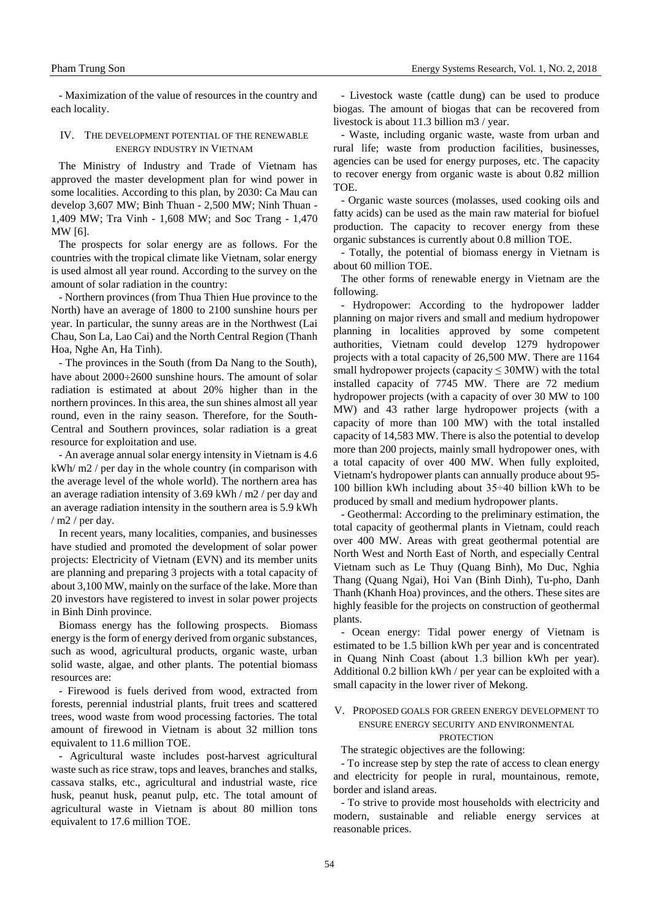- Maximization of the value of resources in the country and each locality.

#### IV. THE DEVELOPMENT POTENTIAL OF THE RENEWABLE ENERGY INDUSTRY IN VIETNAM

The Ministry of Industry and Trade of Vietnam has approved the master development plan for wind power in some localities. According to this plan, by 2030: Ca Mau can develop 3,607 MW; Binh Thuan - 2,500 MW; Ninh Thuan - 1,409 MW; Tra Vinh - 1,608 MW; and Soc Trang - 1,470 MW [6].

The prospects for solar energy are as follows. For the countries with the tropical climate like Vietnam, solar energy is used almost all year round. According to the survey on the amount of solar radiation in the country:

- Northern provinces (from Thua Thien Hue province to the North) have an average of 1800 to 2100 sunshine hours per year. In particular, the sunny areas are in the Northwest (Lai Chau, Son La, Lao Cai) and the North Central Region (Thanh Hoa, Nghe An, Ha Tinh).

- The provinces in the South (from Da Nang to the South), have about  $2000\div 2600$  sunshine hours. The amount of solar radiation is estimated at about 20% higher than in the northern provinces. In this area, the sun shines almost all year round, even in the rainy season. Therefore, for the South-Central and Southern provinces, solar radiation is a great resource for exploitation and use.

- An average annual solar energy intensity in Vietnam is 4.6 kWh/ m2 / per day in the whole country (in comparison with the average level of the whole world). The northern area has an average radiation intensity of 3.69 kWh / m2 / per day and an average radiation intensity in the southern area is 5.9 kWh / m2 / per day.

In recent years, many localities, companies, and businesses have studied and promoted the development of solar power projects: Electricity of Vietnam (EVN) and its member units are planning and preparing 3 projects with a total capacity of about 3,100 MW, mainly on the surface of the lake. More than 20 investors have registered to invest in solar power projects in Binh Dinh province.

Biomass energy has the following prospects. Biomass energy is the form of energy derived from organic substances, such as wood, agricultural products, organic waste, urban solid waste, algae, and other plants. The potential biomass resources are:

- Firewood is fuels derived from wood, extracted from forests, perennial industrial plants, fruit trees and scattered trees, wood waste from wood processing factories. The total amount of firewood in Vietnam is about 32 million tons equivalent to 11.6 million TOE.

- Agricultural waste includes post-harvest agricultural waste such as rice straw, tops and leaves, branches and stalks, cassava stalks, etc., agricultural and industrial waste, rice husk, peanut husk, peanut pulp, etc. The total amount of agricultural waste in Vietnam is about 80 million tons equivalent to 17.6 million TOE.

- Livestock waste (cattle dung) can be used to produce biogas. The amount of biogas that can be recovered from livestock is about 11.3 billion m3 / year.

- Waste, including organic waste, waste from urban and rural life; waste from production facilities, businesses, agencies can be used for energy purposes, etc. The capacity to recover energy from organic waste is about 0.82 million TOE.

- Organic waste sources (molasses, used cooking oils and fatty acids) can be used as the main raw material for biofuel production. The capacity to recover energy from these organic substances is currently about 0.8 million TOE.

- Totally, the potential of biomass energy in Vietnam is about 60 million TOE.

The other forms of renewable energy in Vietnam are the following.

Hydropower: According to the hydropower ladder planning on major rivers and small and medium hydropower planning in localities approved by some competent authorities, Vietnam could develop 1279 hydropower projects with a total capacity of 26,500 MW. There are 1164 small hydropower projects (capacity  $\leq 30MW$ ) with the total installed capacity of 7745 MW. There are 72 medium hydropower projects (with a capacity of over 30 MW to 100 MW) and 43 rather large hydropower projects (with a capacity of more than 100 MW) with the total installed capacity of 14,583 MW. There is also the potential to develop more than 200 projects, mainly small hydropower ones, with a total capacity of over 400 MW. When fully exploited, Vietnam's hydropower plants can annually produce about 95- 100 billion kWh including about 35÷40 billion kWh to be produced by small and medium hydropower plants.

- Geothermal: According to the preliminary estimation, the total capacity of geothermal plants in Vietnam, could reach over 400 MW. Areas with great geothermal potential are North West and North East of North, and especially Central Vietnam such as Le Thuy (Quang Binh), Mo Duc, Nghia Thang (Quang Ngai), Hoi Van (Binh Dinh), Tu-pho, Danh Thanh (Khanh Hoa) provinces, and the others. These sites are highly feasible for the projects on construction of geothermal plants.

- Ocean energy: Tidal power energy of Vietnam is estimated to be 1.5 billion kWh per year and is concentrated in Quang Ninh Coast (about 1.3 billion kWh per year). Additional 0.2 billion kWh / per year can be exploited with a small capacity in the lower river of Mekong.

## V. PROPOSED GOALS FOR GREEN ENERGY DEVELOPMENT TO ENSURE ENERGY SECURITY AND ENVIRONMENTAL

**PROTECTION** 

The strategic objectives are the following:

- To increase step by step the rate of access to clean energy and electricity for people in rural, mountainous, remote, border and island areas.

- To strive to provide most households with electricity and modern, sustainable and reliable energy services at reasonable prices.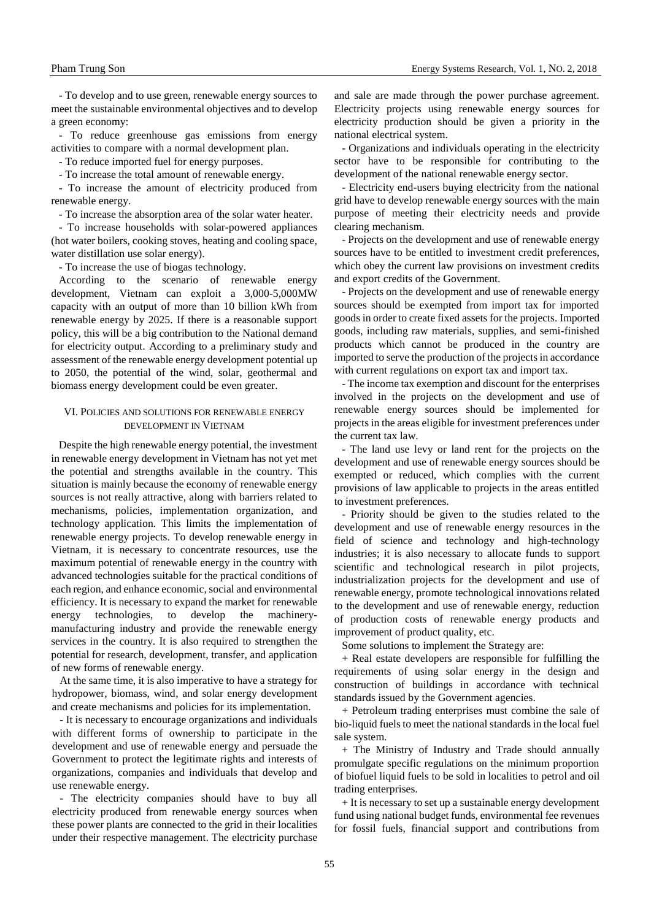- To develop and to use green, renewable energy sources to meet the sustainable environmental objectives and to develop a green economy:

- To reduce greenhouse gas emissions from energy activities to compare with a normal development plan.

- To reduce imported fuel for energy purposes.

- To increase the total amount of renewable energy.

- To increase the amount of electricity produced from renewable energy.

- To increase the absorption area of the solar water heater.

- To increase households with solar*-*powered appliances (hot water boilers, cooking stoves, heating and cooling space, water distillation use solar energy).

- To increase the use of biogas technology.

According to the scenario of renewable energy development, Vietnam can exploit a 3,000-5,000MW capacity with an output of more than 10 billion kWh from renewable energy by 2025. If there is a reasonable support policy, this will be a big contribution to the National demand for electricity output. According to a preliminary study and assessment of the renewable energy development potential up to 2050, the potential of the wind, solar, geothermal and biomass energy development could be even greater.

#### VI. POLICIES AND SOLUTIONS FOR RENEWABLE ENERGY DEVELOPMENT IN VIETNAM

Despite the high renewable energy potential, the investment in renewable energy development in Vietnam has not yet met the potential and strengths available in the country. This situation is mainly because the economy of renewable energy sources is not really attractive, along with barriers related to mechanisms, policies, implementation organization, and technology application. This limits the implementation of renewable energy projects. To develop renewable energy in Vietnam, it is necessary to concentrate resources, use the maximum potential of renewable energy in the country with advanced technologies suitable for the practical conditions of each region, and enhance economic, social and environmental efficiency. It is necessary to expand the market for renewable energy technologies, to develop the machinerymanufacturing industry and provide the renewable energy services in the country. It is also required to strengthen the potential for research, development, transfer, and application of new forms of renewable energy.

At the same time, it is also imperative to have a strategy for hydropower, biomass, wind, and solar energy development and create mechanisms and policies for its implementation.

- It is necessary to encourage organizations and individuals with different forms of ownership to participate in the development and use of renewable energy and persuade the Government to protect the legitimate rights and interests of organizations, companies and individuals that develop and use renewable energy.

- The electricity companies should have to buy all electricity produced from renewable energy sources when these power plants are connected to the grid in their localities under their respective management. The electricity purchase and sale are made through the power purchase agreement. Electricity projects using renewable energy sources for electricity production should be given a priority in the national electrical system.

- Organizations and individuals operating in the electricity sector have to be responsible for contributing to the development of the national renewable energy sector.

- Electricity end-users buying electricity from the national grid have to develop renewable energy sources with the main purpose of meeting their electricity needs and provide clearing mechanism.

- Projects on the development and use of renewable energy sources have to be entitled to investment credit preferences, which obey the current law provisions on investment credits and export credits of the Government.

- Projects on the development and use of renewable energy sources should be exempted from import tax for imported goods in order to create fixed assets for the projects. Imported goods, including raw materials, supplies, and semi-finished products which cannot be produced in the country are imported to serve the production of the projects in accordance with current regulations on export tax and import tax.

- The income tax exemption and discount for the enterprises involved in the projects on the development and use of renewable energy sources should be implemented for projects in the areas eligible for investment preferences under the current tax law.

- The land use levy or land rent for the projects on the development and use of renewable energy sources should be exempted or reduced, which complies with the current provisions of law applicable to projects in the areas entitled to investment preferences.

- Priority should be given to the studies related to the development and use of renewable energy resources in the field of science and technology and high-technology industries; it is also necessary to allocate funds to support scientific and technological research in pilot projects, industrialization projects for the development and use of renewable energy, promote technological innovations related to the development and use of renewable energy, reduction of production costs of renewable energy products and improvement of product quality, etc.

Some solutions to implement the Strategy are:

+ Real estate developers are responsible for fulfilling the requirements of using solar energy in the design and construction of buildings in accordance with technical standards issued by the Government agencies.

+ Petroleum trading enterprises must combine the sale of bio-liquid fuels to meet the national standards in the local fuel sale system.

+ The Ministry of Industry and Trade should annually promulgate specific regulations on the minimum proportion of biofuel liquid fuels to be sold in localities to petrol and oil trading enterprises.

+ It is necessary to set up a sustainable energy development fund using national budget funds, environmental fee revenues for fossil fuels, financial support and contributions from